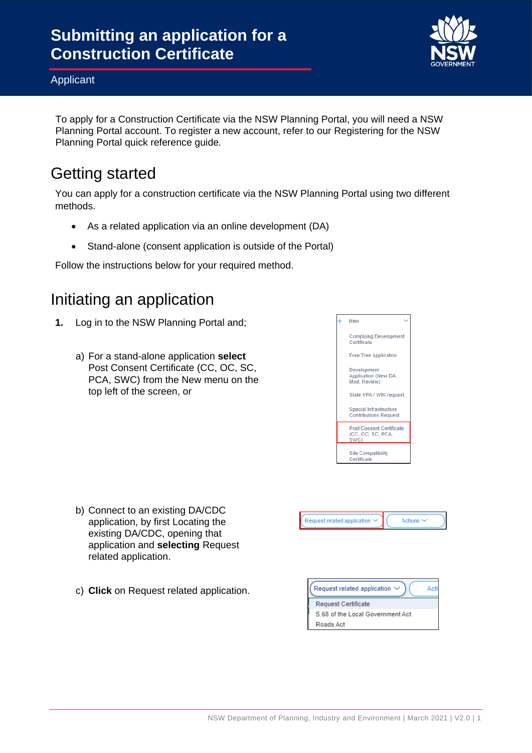

To apply for a Construction Certificate via the NSW Planning Portal, you will need a NSW Planning Portal account. To register a new account, refer to our Registering for the NSW Planning Portal quick reference guide*.*

## Getting started

You can apply for a construction certificate via the NSW Planning Portal using two different methods.

- As a related application via an online development (DA)
- Stand-alone (consent application is outside of the Portal)

Follow the instructions below for your required method.

## Initiating an application

- **1.** Log in to the NSW Planning Portal and;
	- a) For a stand-alone application **select** Post Consent Certificate (CC, OC, SC, PCA, SWC) from the New menu on the top left of the screen, or



- b) Connect to an existing DA/CDC application, by first Locating the existing DA/CDC, opening that application and **selecting** Request related application.
- c) **Click** on Request related application.



Actions

S.68 of the Local Government Act Roads Act

Request related application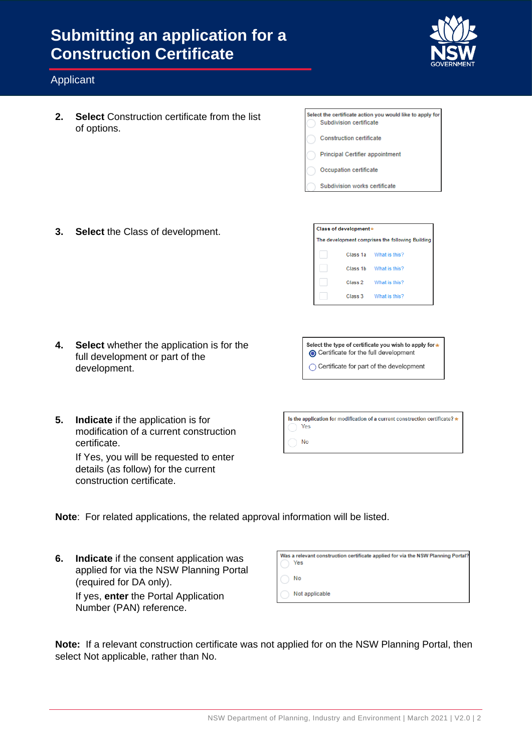

### Applicant

**2. Select** Construction certificate from the list of options.

| Select the certificate action you would like to apply for<br>Subdivision certificate |
|--------------------------------------------------------------------------------------|
| <b>Construction certificate</b>                                                      |
| <b>Principal Certifier appointment</b>                                               |
| Occupation certificate                                                               |
| Subdivision works certificate                                                        |

**3. Select** the Class of development.

The development comprises the following Building Class 1a What is this? Class 1b What is this? Class 2 What is this? Class 3 What is this?

Class of development\*

**4. Select** whether the application is for the full development or part of the development.

Select the type of certificate you wish to apply for \* Certificate for the full development ◯ Certificate for part of the development

**5. Indicate** if the application is for modification of a current construction certificate.

> If Yes, you will be requested to enter details (as follow) for the current construction certificate.

| Is the application for modification of a current construction certificate? *<br>Yes |  |
|-------------------------------------------------------------------------------------|--|
| Nο                                                                                  |  |

- **Note**: For related applications, the related approval information will be listed.
- **6. Indicate** if the consent application was applied for via the NSW Planning Portal (required for DA only). If yes, **enter** the Portal Application

|  |  |                         | $\sim$ you, ontor the relation periodic |
|--|--|-------------------------|-----------------------------------------|
|  |  | Number (PAN) reference. |                                         |

| Was a relevant construction certificate applied for via the NSW Planning Portal?<br>Yes |
|-----------------------------------------------------------------------------------------|
| No                                                                                      |
| Not applicable                                                                          |

**Note:** If a relevant construction certificate was not applied for on the NSW Planning Portal, then select Not applicable, rather than No.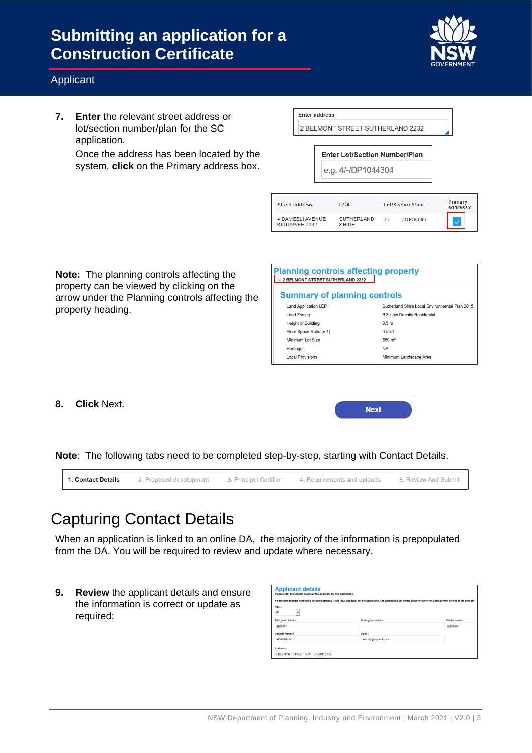

### Applicant

**7. Enter** the relevant street address or lot/section number/plan for the SC application.

> Once the address has been located by the system, **click** on the Primary address box.

| <b>Enter address</b> |  |
|----------------------|--|
|                      |  |

2 BELMONT STREET SUTHERLAND 2232

Enter Lot/Section Number/Plan e.g. 4/-/DP1044304

| <b>Street address</b>                    | LGA                               | Lot/Section/Plan    | Primary<br>address? |
|------------------------------------------|-----------------------------------|---------------------|---------------------|
| <b>4 DAMEELI AVENUE</b><br>KIRRAWEE 2232 | <b>SUTHERLAND</b><br><b>SHIRE</b> | $21$ -- $1$ DP30696 |                     |

**Note:** The planning controls affecting the property can be viewed by clicking on the arrow under the Planning controls affecting the property heading.

| <b>Planning controls affecting property</b><br>/2 BELMONT STREET SUTHERLAND 2232 |                                                |  |  |  |  |  |
|----------------------------------------------------------------------------------|------------------------------------------------|--|--|--|--|--|
| <b>Summary of planning controls</b>                                              |                                                |  |  |  |  |  |
| <b>Land Application LEP</b>                                                      | Sutherland Shire Local Environmental Plan 2015 |  |  |  |  |  |
| Land Zoning                                                                      | R2: Low Density Residential                    |  |  |  |  |  |
| Height of Building                                                               | 8.5 <sub>m</sub>                               |  |  |  |  |  |
| Floor Space Ratio (n:1)                                                          | 0.55:1                                         |  |  |  |  |  |
| Minimum Lot Size                                                                 | $550 \; \mathrm{m}^2$                          |  |  |  |  |  |
| Heritage                                                                         | <b>NA</b>                                      |  |  |  |  |  |
| <b>Local Provisions</b>                                                          | Minimum Landscape Area                         |  |  |  |  |  |

**8. Click** Next.

**Next** 

**Note**: The following tabs need to be completed step-by-step, starting with Contact Details.

|  | <b>1. Contact Details</b> 2. Proposed development 3. Principal Certifier 4. Requirements and uploads 5. Review And Submit |  |
|--|---------------------------------------------------------------------------------------------------------------------------|--|
|  |                                                                                                                           |  |

# Capturing Contact Details

When an application is linked to an online DA, the majority of the information is prepopulated from the DA. You will be required to review and update where necessary.

**9. Review** the applicant details and ensure the information is correct or update as required;

| <b>Applicant details</b><br>Please enter the contact details of the applicant for this application. |                                                                                                                                                                             |               |  |  |  |
|-----------------------------------------------------------------------------------------------------|-----------------------------------------------------------------------------------------------------------------------------------------------------------------------------|---------------|--|--|--|
|                                                                                                     | Please note that the nominated personi company is the legal applicant for the application. The applicant must be the property owner or a person with benefit of the consent |               |  |  |  |
| Title +<br>Mr<br>$\checkmark$                                                                       |                                                                                                                                                                             |               |  |  |  |
| First given name +                                                                                  | Other given name/s                                                                                                                                                          | Family name * |  |  |  |
| applicant                                                                                           |                                                                                                                                                                             | applicant     |  |  |  |
| Contact number                                                                                      | Email +                                                                                                                                                                     |               |  |  |  |
| 0404040404                                                                                          | newda@yopmail.com                                                                                                                                                           |               |  |  |  |
| Addresse                                                                                            |                                                                                                                                                                             |               |  |  |  |
| 2 BELMONT STREET SUTHERLAND 2232                                                                    |                                                                                                                                                                             |               |  |  |  |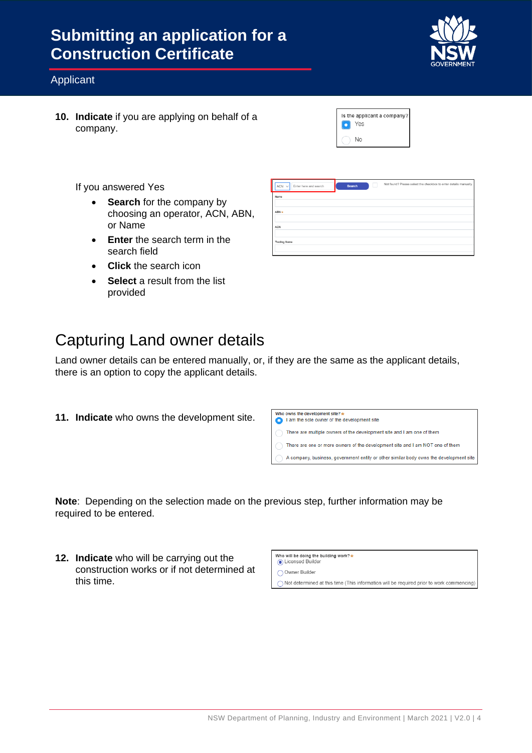

### Applicant

**10. Indicate** if you are applying on behalf of a company.

|  | Is the applicant a company?<br>ΈS |
|--|-----------------------------------|
|  | Nη                                |

If you answered Yes

- **Search** for the company by choosing an operator, ACN, ABN, or Name
- **Enter** the search term in the search field
- **Click** the search icon
- **Select** a result from the list provided

| <b>Capturing Land owner details</b> |  |  |
|-------------------------------------|--|--|
|                                     |  |  |

Land owner details can be entered manually, or, if they are the same as the applicant details, there is an option to copy the applicant details.

**11. Indicate** who owns the development site.



**Note**: Depending on the selection made on the previous step, further information may be required to be entered.

**12. Indicate** who will be carrying out the construction works or if not determined at this time.

Who will be doing the building work?\* Consed Builde

◯ Owner Builder

◯ Not determined at this time (This information will be required prior to work commencing)

| $ACN$ $\vee$<br>Enter here and search | Search | L | Not found? Please select the checkbox to enter details manually. |
|---------------------------------------|--------|---|------------------------------------------------------------------|
| Name                                  |        |   |                                                                  |
| $ABN +$                               |        |   |                                                                  |
|                                       |        |   |                                                                  |
| ACN                                   |        |   |                                                                  |
| <b>Trading Name</b>                   |        |   |                                                                  |
|                                       |        |   |                                                                  |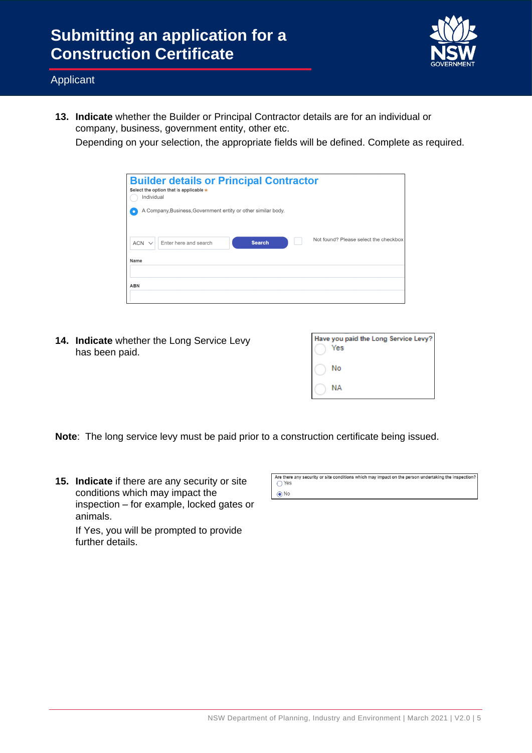

**13. Indicate** whether the Builder or Principal Contractor details are for an individual or company, business, government entity, other etc.

Depending on your selection, the appropriate fields will be defined. Complete as required.

| Individual | <b>Builder details or Principal Contractor</b><br>Select the option that is applicable * |               |                                       |
|------------|------------------------------------------------------------------------------------------|---------------|---------------------------------------|
|            | A Company, Business, Government entity or other similar body.                            |               |                                       |
| $ACN \vee$ | Enter here and search                                                                    | <b>Search</b> | Not found? Please select the checkbox |
| Name       |                                                                                          |               |                                       |
| <b>ABN</b> |                                                                                          |               |                                       |

**14. Indicate** whether the Long Service Levy has been paid.

| Have you paid the Long Service Levy?<br>Yes |
|---------------------------------------------|
| No                                          |
| NΑ                                          |

**Note**: The long service levy must be paid prior to a construction certificate being issued.

**15. Indicate** if there are any security or site conditions which may impact the inspection – for example, locked gates or animals.

If Yes, you will be prompted to provide further details.

| Are there any security or site conditions which may impact on the person undertaking the inspection? |  |
|------------------------------------------------------------------------------------------------------|--|
| $\bigcap$ Yes                                                                                        |  |
| $\bigcirc$ No                                                                                        |  |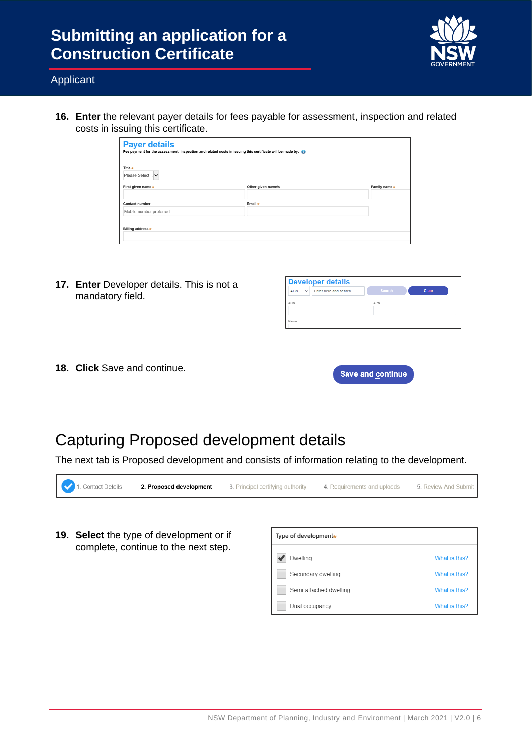

What is this?

What is this?

### Applicant

**16. Enter** the relevant payer details for fees payable for assessment, inspection and related costs in issuing this certificate.

| <b>Payer details</b><br>Fee payment for the assessment, inspection and related costs in issuing this certificate will be made by: |                    |              |
|-----------------------------------------------------------------------------------------------------------------------------------|--------------------|--------------|
| Title $\star$<br>Please Select v                                                                                                  |                    |              |
| First given name $\star$                                                                                                          | Other given name/s | Family name* |
|                                                                                                                                   |                    |              |
| Contact number                                                                                                                    | Email $\star$      |              |
| Mobile number preferred                                                                                                           |                    |              |
| Billing address *                                                                                                                 |                    |              |
|                                                                                                                                   |                    |              |

**17. Enter** Developer details. This is not a mandatory field.

| <b>Developer details</b>                   |                 |
|--------------------------------------------|-----------------|
| $\vee$ Enter here and search<br><b>ACN</b> | Search<br>Clear |
| <b>ARN</b>                                 | <b>ACN</b>      |
| Name                                       |                 |

**18. Click** Save and continue.

| <b>Save and continue</b> |  |  |
|--------------------------|--|--|
|                          |  |  |

## Capturing Proposed development details

The next tab is Proposed development and consists of information relating to the development.



Semi-attached dwelling

Dual occupancy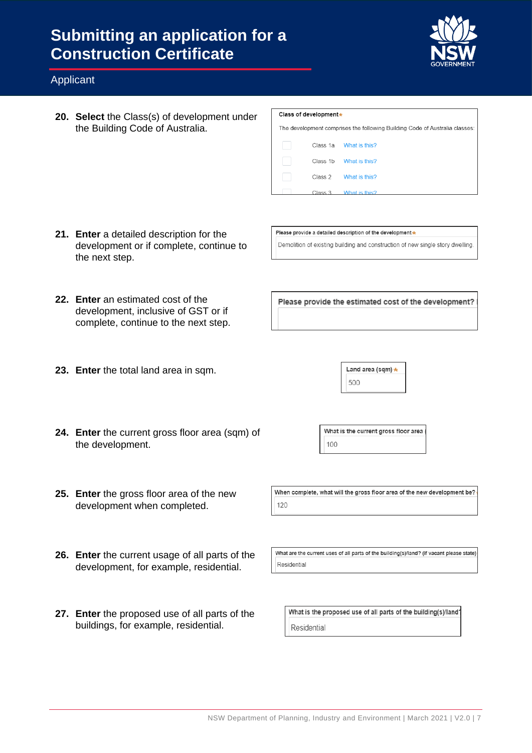

### Applicant

**20. Select** the Class(s) of development under the Building Code of Australia.

| Class of development*                                                       |                    |               |  |
|-----------------------------------------------------------------------------|--------------------|---------------|--|
| The development comprises the following Building Code of Australia classes: |                    |               |  |
|                                                                             | Class 1a           | What is this? |  |
|                                                                             | Class 1b           | What is this? |  |
|                                                                             | Class <sub>2</sub> | What is this? |  |
|                                                                             | Class 3            | What is this? |  |

**21. Enter** a detailed description for the development or if complete, continue to the next step.

> development, inclusive of GST or if complete, continue to the next step.

Please provide a detailed description of the development \* Demolition of existing building and construction of new single story dwelling.

Please provide the estimated cost of the development?

**23. Enter** the total land area in sqm.

**22. Enter** an estimated cost of the

| Land area (sqm) * |  |
|-------------------|--|
| 500               |  |

- **24. Enter** the current gross floor area (sqm) of the development.
- **25. Enter** the gross floor area of the new development when completed.
- **26. Enter** the current usage of all parts of the development, for example, residential.
- **27. Enter** the proposed use of all parts of the buildings, for example, residential.

What is the current gross floor area 100

When complete, what will the gross floor area of the new development be? 120

What are the current uses of all parts of the building(s)/land? (if vacant please state) Residential

What is the proposed use of all parts of the building(s)/land? Residential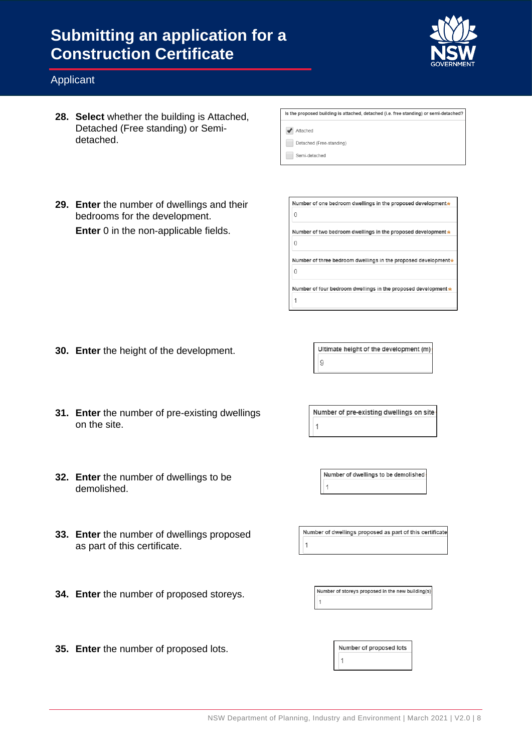

### Applicant

**28. Select** whether the building is Attached, Detached (Free standing) or Semidetached.

| Is the proposed building is attached, detached (i.e. free standing) or semi-detached? |
|---------------------------------------------------------------------------------------|
|                                                                                       |
| Attached                                                                              |
|                                                                                       |
| Detached (Free-standing)                                                              |
|                                                                                       |
| Semi-detached                                                                         |
|                                                                                       |

**29. Enter** the number of dwellings and their bedrooms for the development. **Enter** 0 in the non-applicable fields.

| Number of one bedroom dwellings in the proposed development*   |
|----------------------------------------------------------------|
|                                                                |
| Number of two bedroom dwellings in the proposed development ★  |
|                                                                |
|                                                                |
| Number of three bedroom dwellings in the proposed development* |
|                                                                |
| Number of four bedroom dwellings in the proposed development * |

- **30. Enter** the height of the development.
- **31. Enter** the number of pre-existing dwellings on the site.
- **32. Enter** the number of dwellings to be demolished.
- **33. Enter** the number of dwellings proposed as part of this certificate.
- **34. Enter** the number of proposed storeys.

Number of pre-existing dwellings on site  $\mathbf{1}$ 

Ultimate height of the development (m)

 $\overline{9}$ 

Number of dwellings to be demolished  $\mathbf 1$ 

Number of dwellings proposed as part of this certificate  $\overline{1}$ 

Number of storeys proposed in the new building(s)

**35. Enter** the number of proposed lots.

Number of proposed lots

 $\mathbf{1}$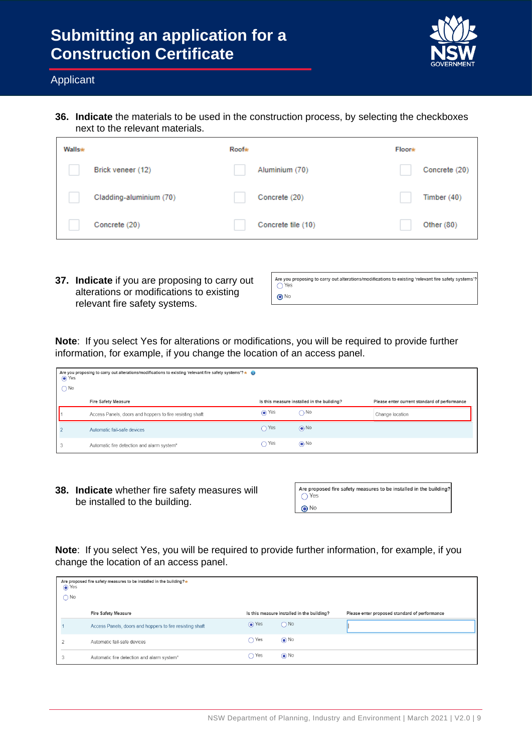

#### Applicant

**36. Indicate** the materials to be used in the construction process, by selecting the checkboxes next to the relevant materials.

| <b>Walls*</b> |                         | <b>Roof*</b> |                    | <b>Floor*</b> |               |
|---------------|-------------------------|--------------|--------------------|---------------|---------------|
|               | Brick veneer (12)       |              | Aluminium (70)     |               | Concrete (20) |
|               | Cladding-aluminium (70) |              | Concrete (20)      |               | Timber $(40)$ |
|               | Concrete (20)           |              | Concrete tile (10) |               | Other $(80)$  |

**37. Indicate** if you are proposing to carry out alterations or modifications to existing relevant fire safety systems.

| Are you proposing to carry out alterations/modifications to existing 'relevant fire safety systems'?<br>$\bigcirc$ Yes |
|------------------------------------------------------------------------------------------------------------------------|
| $\bigcirc$ No                                                                                                          |

**Note**: If you select Yes for alterations or modifications, you will be required to provide further information, for example, if you change the location of an access panel.

| Are you proposing to carry out alterations/modifications to existing 'relevant fire safety systems'? $\star$<br>O Yes<br>$\bigcap$ No |                                                          |        |                                            |                                              |  |
|---------------------------------------------------------------------------------------------------------------------------------------|----------------------------------------------------------|--------|--------------------------------------------|----------------------------------------------|--|
|                                                                                                                                       | Fire Safety Measure                                      |        | Is this measure installed in the building? | Please enter current standard of performance |  |
|                                                                                                                                       | Access Panels, doors and hoppers to fire resisting shaft | (● Yes | $\bigcap$ No                               | Change location                              |  |
|                                                                                                                                       | Automatic fail-safe devices                              | Yes    | $\odot$ No                                 |                                              |  |
|                                                                                                                                       | Automatic fire detection and alarm system*               | Yes    | $\odot$ No                                 |                                              |  |

**38. Indicate** whether fire safety measures will be installed to the building.

| Are proposed fire safety measures to be installed in the building? |
|--------------------------------------------------------------------|
| $\bigcap$ Yes                                                      |
| ∩ No                                                               |

**Note**: If you select Yes, you will be required to provide further information, for example, if you change the location of an access panel.

| Are proposed fire safety measures to be installed in the building?*<br>⊙ Yes<br>$\bigcap$ No |                                                          |               |                                            |                                               |  |  |
|----------------------------------------------------------------------------------------------|----------------------------------------------------------|---------------|--------------------------------------------|-----------------------------------------------|--|--|
|                                                                                              | Fire Safety Measure                                      |               | Is this measure installed in the building? | Please enter proposed standard of performance |  |  |
|                                                                                              | Access Panels, doors and hoppers to fire resisting shaft | in Yes        | $\bigcap$ No                               |                                               |  |  |
|                                                                                              | Automatic fail-safe devices                              | $\bigcap$ Yes | $\odot$ No                                 |                                               |  |  |
|                                                                                              | Automatic fire detection and alarm system*               | $\bigcap$ Yes | $\odot$ No                                 |                                               |  |  |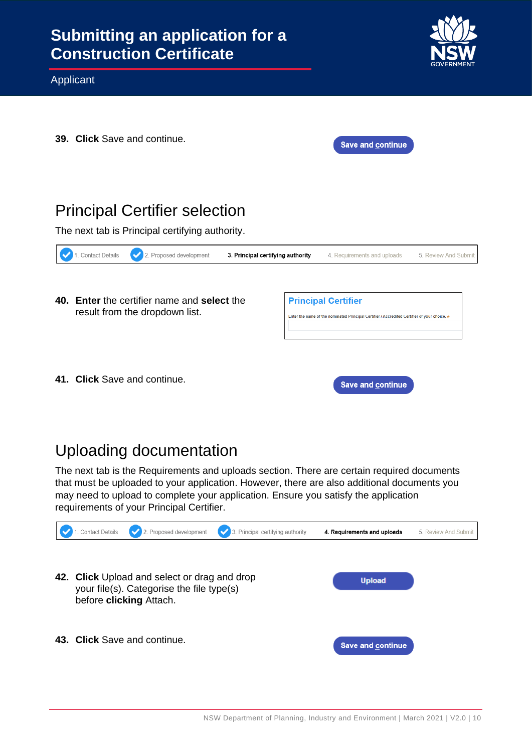

**39. Click** Save and continue.

| <b>Save and continue.</b> |  |
|---------------------------|--|
|                           |  |

## Principal Certifier selection

The next tab is Principal certifying authority.

| <b>Contact Details</b> | . Proposed development                                                        | 3. Principal certifying authority | 4. Requirements and uploads                                                                                                | 5 Review And Submit |
|------------------------|-------------------------------------------------------------------------------|-----------------------------------|----------------------------------------------------------------------------------------------------------------------------|---------------------|
|                        | 40. Enter the certifier name and select the<br>result from the dropdown list. |                                   | <b>Principal Certifier</b><br>Enter the name of the nominated Principal Certifier / Accredited Certifier of your choice. * |                     |
|                        | 41. Click Save and continue.                                                  |                                   | <b>Save and continue</b>                                                                                                   |                     |

# Uploading documentation

The next tab is the Requirements and uploads section. There are certain required documents that must be uploaded to your application. However, there are also additional documents you may need to upload to complete your application. Ensure you satisfy the application requirements of your Principal Certifier.

| <b>Contact Details</b> | 2. Proposed development<br>$\checkmark$                                                                              | 3. Principal certifying authority | 4. Requirements and uploads | 5. Review And Submit |
|------------------------|----------------------------------------------------------------------------------------------------------------------|-----------------------------------|-----------------------------|----------------------|
|                        | 42. Click Upload and select or drag and drop<br>your file(s). Categorise the file type(s)<br>before clicking Attach. |                                   | <b>Upload</b>               |                      |
|                        | 43. Click Save and continue.                                                                                         |                                   | <b>Save and continue</b>    |                      |